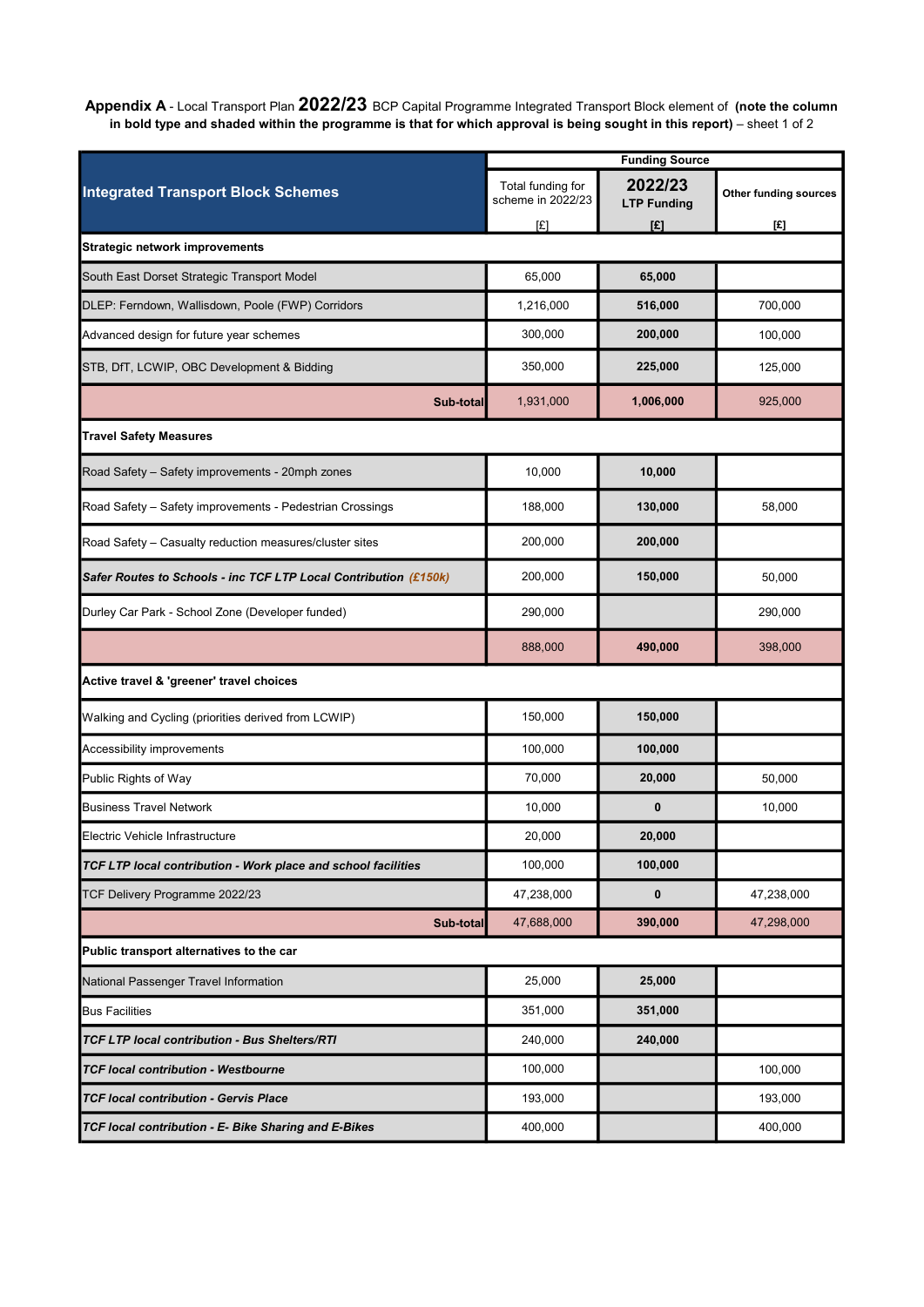Appendix A - Local Transport Plan 2022/23 BCP Capital Programme Integrated Transport Block element of (note the column in bold type and shaded within the programme is that for which approval is being sought in this report) – sheet 1 of 2

| <b>Funding Source</b>                                            |                                        |                               |                       |  |
|------------------------------------------------------------------|----------------------------------------|-------------------------------|-----------------------|--|
| <b>Integrated Transport Block Schemes</b>                        | Total funding for<br>scheme in 2022/23 | 2022/23<br><b>LTP Funding</b> | Other funding sources |  |
|                                                                  | [£]                                    | [£]                           | [£]                   |  |
| <b>Strategic network improvements</b>                            |                                        |                               |                       |  |
| South East Dorset Strategic Transport Model                      | 65,000                                 | 65,000                        |                       |  |
| DLEP: Ferndown, Wallisdown, Poole (FWP) Corridors                | 1,216,000                              | 516,000                       | 700,000               |  |
| Advanced design for future year schemes                          | 300,000                                | 200,000                       | 100,000               |  |
| STB, DfT, LCWIP, OBC Development & Bidding                       | 350,000                                | 225,000                       | 125,000               |  |
| Sub-total                                                        | 1,931,000                              | 1,006,000                     | 925,000               |  |
| <b>Travel Safety Measures</b>                                    |                                        |                               |                       |  |
| Road Safety - Safety improvements - 20mph zones                  | 10,000                                 | 10,000                        |                       |  |
| Road Safety - Safety improvements - Pedestrian Crossings         | 188,000                                | 130,000                       | 58,000                |  |
| Road Safety - Casualty reduction measures/cluster sites          | 200,000                                | 200,000                       |                       |  |
| Safer Routes to Schools - inc TCF LTP Local Contribution (£150k) | 200,000                                | 150,000                       | 50,000                |  |
| Durley Car Park - School Zone (Developer funded)                 | 290,000                                |                               | 290,000               |  |
|                                                                  | 888,000                                | 490,000                       | 398,000               |  |
| Active travel & 'greener' travel choices                         |                                        |                               |                       |  |
| Walking and Cycling (priorities derived from LCWIP)              | 150,000                                | 150,000                       |                       |  |
| Accessibility improvements                                       | 100,000                                | 100,000                       |                       |  |
| Public Rights of Way                                             | 70,000                                 | 20,000                        | 50,000                |  |
| <b>Business Travel Network</b>                                   | 10,000                                 | $\bf{0}$                      | 10,000                |  |
| Electric Vehicle Infrastructure                                  | 20,000                                 | 20,000                        |                       |  |
| TCF LTP local contribution - Work place and school facilities    | 100,000                                | 100,000                       |                       |  |
| TCF Delivery Programme 2022/23                                   | 47,238,000                             | 0                             | 47,238,000            |  |
| Sub-total                                                        | 47,688,000                             | 390,000                       | 47,298,000            |  |
| Public transport alternatives to the car                         |                                        |                               |                       |  |
| National Passenger Travel Information                            | 25,000                                 | 25,000                        |                       |  |
| <b>Bus Facilities</b>                                            | 351,000                                | 351,000                       |                       |  |
| <b>TCF LTP local contribution - Bus Shelters/RTI</b>             | 240,000                                | 240,000                       |                       |  |
| <b>TCF local contribution - Westbourne</b>                       | 100,000                                |                               | 100,000               |  |
| <b>TCF local contribution - Gervis Place</b>                     | 193,000                                |                               | 193,000               |  |
| TCF local contribution - E- Bike Sharing and E-Bikes             | 400,000                                |                               | 400,000               |  |